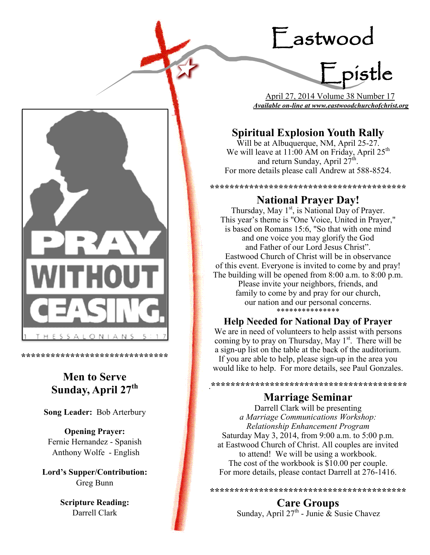# Eastwood

Epistle

 April 27, 2014 Volume 38 Number 17 *Available on-line at www.eastwoodchurchofchrist.org*

# **Spiritual Explosion Youth Rally**

Will be at Albuquerque, NM, April 25-27. We will leave at 11:00 AM on Friday, April 25<sup>th</sup> and return Sunday, April  $27^{\text{th}}$ . For more details please call Andrew at 588-8524.

## **\*\*\*\*\*\*\*\*\*\*\*\*\*\*\*\*\*\*\*\*\*\*\*\*\*\*\*\*\*\*\*\*\*\*\*\*\*\*\*\* National Prayer Day!**

Thursday, May 1<sup>st</sup>, is National Day of Prayer. This year's theme is "One Voice, United in Prayer," is based on Romans 15:6, "So that with one mind and one voice you may glorify the God and Father of our Lord Jesus Christ". Eastwood Church of Christ will be in observance of this event. Everyone is invited to come by and pray! The building will be opened from 8:00 a.m. to 8:00 p.m. Please invite your neighbors, friends, and family to come by and pray for our church, our nation and our personal concerns. \*\*\*\*\*\*\*\*\*\*\*\*\*\*\*

## **Help Needed for National Day of Prayer**

We are in need of volunteers to help assist with persons coming by to pray on Thursday, May  $1<sup>st</sup>$ . There will be a sign-up list on the table at the back of the auditorium. If you are able to help, please sign-up in the area you would like to help. For more details, see Paul Gonzales.

**Marriage Seminar**

.**\*\*\*\*\*\*\*\*\*\*\*\*\*\*\*\*\*\*\*\*\*\*\*\*\*\*\*\*\*\*\*\*\*\*\*\*\*\*\*\***

Darrell Clark will be presenting *a Marriage Communications Workshop: Relationship Enhancement Program*  Saturday May 3, 2014, from 9:00 a.m. to 5:00 p.m. at Eastwood Church of Christ. All couples are invited to attend! We will be using a workbook. The cost of the workbook is \$10.00 per couple. For more details, please contact Darrell at 276-1416.

**Care Groups** Sunday, April 27<sup>th</sup> - Junie & Susie Chavez

**\*\*\*\*\*\*\*\*\*\*\*\*\*\*\*\*\*\*\*\*\*\*\*\*\*\*\*\*\*\*\*\*\*\*\*\*\*\*\*\***



**\*\*\*\*\*\*\*\*\*\*\*\*\*\*\*\*\*\*\*\*\*\*\*\*\*\*\*\*\*\***

# **Men to Serve Sunday, April 27th**

**Song Leader:** Bob Arterbury

**Opening Prayer:** Fernie Hernandez - Spanish Anthony Wolfe - English

**Lord's Supper/Contribution:**  Greg Bunn

> **Scripture Reading:**  Darrell Clark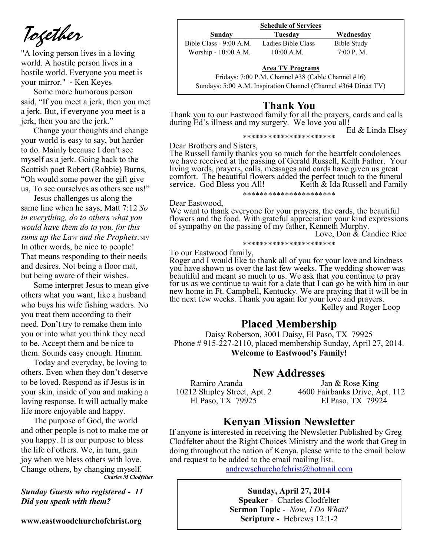*Together*

"A loving person lives in a loving world. A hostile person lives in a hostile world. Everyone you meet is your mirror." - Ken Keyes

Some more humorous person said, "If you meet a jerk, then you met a jerk. But, if everyone you meet is a jerk, then you are the jerk."

Change your thoughts and change your world is easy to say, but harder to do. Mainly because I don't see myself as a jerk. Going back to the Scottish poet Robert (Robbie) Burns, "Oh would some power the gift give us, To see ourselves as others see us!"

Jesus challenges us along the same line when he says, Matt 7:12 *So in everything, do to others what you would have them do to you, for this sums up the Law and the Prophets.* NIV In other words, be nice to people! That means responding to their needs and desires. Not being a floor mat, but being aware of their wishes.

Some interpret Jesus to mean give others what you want, like a husband who buys his wife fishing waders. No you treat them according to their need. Don't try to remake them into you or into what you think they need to be. Accept them and be nice to them. Sounds easy enough. Hmmm.

Today and everyday, be loving to others. Even when they don't deserve to be loved. Respond as if Jesus is in your skin, inside of you and making a loving response. It will actually make life more enjoyable and happy.

The purpose of God, the world and other people is not to make me or you happy. It is our purpose to bless the life of others. We, in turn, gain joy when we bless others with love. Change others, by changing myself. *Charles M Clodfelter*

*Sunday Guests who registered - 11 Did you speak with them?*

**www.eastwoodchurchofchrist.org**

#### **Schedule of Services Sunday Tuesday Wednesday**

| миниа                   | 1 uesuay           | <i>wednesday</i>     |
|-------------------------|--------------------|----------------------|
| Bible Class - 9:00 A.M. | Ladies Bible Class | Bible Study          |
| Worship - 10:00 A.M.    | 10:00 A.M.         | $7:00 \text{ P. M.}$ |

#### **Area TV Programs**

Area TV Programs<br>Fridays: 7:00 P.M. Channel #38 (Cable Channel #16) Sundays: 5:00 A.M. Inspiration Channel (Channel #364 Direct TV)

## **Thank You**

Thank you to our Eastwood family for all the prayers, cards and calls during Ed's illness and my surgery. We love you all!

\*\*\*\*\*\*\*\*\*\*\*\*\*\*\*\*\*\*\*\*\*\*

Ed & Linda Elsey

Dear Brothers and Sisters,

The Russell family thanks you so much for the heartfelt condolences we have received at the passing of Gerald Russell, Keith Father. Your living words, prayers, calls, messages and cards have given us great comfort. The beautiful flowers added the perfect touch to the funeral service. God Bless you All! Keith & Ida Russell and Family \*\*\*\*\*\*\*\*\*\*\*\*\*\*\*\*\*\*\*\*\*\*

#### Dear Eastwood,

We want to thank everyone for your prayers, the cards, the beautiful flowers and the food. With grateful appreciation your kind expressions of sympathy on the passing of my father, Kenneth Murphy.

Love, Don & Candice Rice

## \*\*\*\*\*\*\*\*\*\*\*\*\*\*\*\*\*\*\*\*\*\*

To our Eastwood family,

Roger and I would like to thank all of you for your love and kindness you have shown us over the last few weeks. The wedding shower was beautiful and meant so much to us. We ask that you continue to pray for us as we continue to wait for a date that I can go be with him in our new home in Ft. Campbell, Kentucky. We are praying that it will be in the next few weeks. Thank you again for your love and prayers. Kelley and Roger Loop

## **Placed Membership**

Daisy Roberson, 3001 Daisy, El Paso, TX 79925 Phone # 915-227-2110, placed membership Sunday, April 27, 2014. **Welcome to Eastwood's Family!** 

## **New Addresses**

El Paso, TX 79925

Ramiro Aranda Jan & Rose King 10212 Shipley Street, Apt. 2 4600 Fairbanks Drive, Apt. 112

## **Kenyan Mission Newsletter**

If anyone is interested in receiving the Newsletter Published by Greg Clodfelter about the Right Choices Ministry and the work that Greg in doing throughout the nation of Kenya, please write to the email below and request to be added to the email mailing list.

[andrewschurchofchrist@hotmail.com](mailto:andrewschurchofchrist@hotmail.com)

**Sunday, April 27, 2014 Speaker** - Charles Clodfelter **Sermon Topic** - *Now, I Do What?*  **Scripture** - Hebrews 12:1-2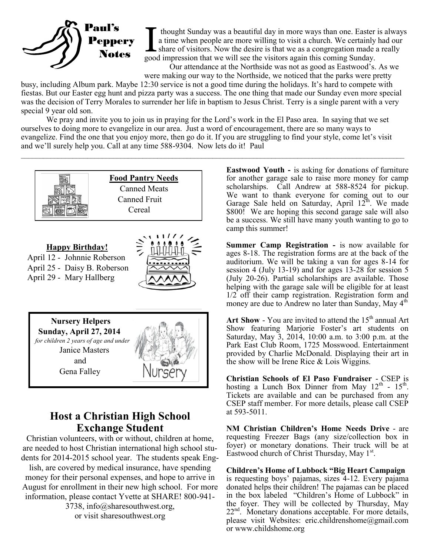

I thought Sunday was a beautiful day in more ways than one. Easter a time when people are more willing to visit a church. We certainly share of visitors. Now the desire is that we as a congregation made a good impression t thought Sunday was a beautiful day in more ways than one. Easter is always a time when people are more willing to visit a church. We certainly had our share of visitors. Now the desire is that we as a congregation made a really

Our attendance at the Northside was not as good as Eastwood's. As we were making our way to the Northside, we noticed that the parks were pretty

busy, including Album park. Maybe 12:30 service is not a good time during the holidays. It's hard to compete with fiestas. But our Easter egg hunt and pizza party was a success. The one thing that made our Sunday even more special was the decision of Terry Morales to surrender her life in baptism to Jesus Christ. Terry is a single parent with a very special 9 year old son.

We pray and invite you to join us in praying for the Lord's work in the El Paso area. In saying that we set ourselves to doing more to evangelize in our area. Just a word of encouragement, there are so many ways to evangelize. Find the one that you enjoy more, then go do it. If you are struggling to find your style, come let's visit and we'll surely help you. Call at any time 588-9304. Now lets do it! Paul

 $\mathcal{L}_\mathcal{L} = \mathcal{L}_\mathcal{L} = \mathcal{L}_\mathcal{L} = \mathcal{L}_\mathcal{L} = \mathcal{L}_\mathcal{L} = \mathcal{L}_\mathcal{L} = \mathcal{L}_\mathcal{L} = \mathcal{L}_\mathcal{L} = \mathcal{L}_\mathcal{L} = \mathcal{L}_\mathcal{L} = \mathcal{L}_\mathcal{L} = \mathcal{L}_\mathcal{L} = \mathcal{L}_\mathcal{L} = \mathcal{L}_\mathcal{L} = \mathcal{L}_\mathcal{L} = \mathcal{L}_\mathcal{L} = \mathcal{L}_\mathcal{L}$ 









## **Host a Christian High School Exchange Student**

Christian volunteers, with or without, children at home, are needed to host Christian international high school students for 2014-2015 school year. The students speak Eng-

lish, are covered by medical insurance, have spending money for their personal expenses, and hope to arrive in August for enrollment in their new high school. For more information, please contact Yvette at SHARE! 800-941-

> 3738, info@sharesouthwest.org, or visit sharesouthwest.org

**Eastwood Youth -** is asking for donations of furniture for another garage sale to raise more money for camp scholarships. Call Andrew at 588-8524 for pickup. We want to thank everyone for coming out to our Garage Sale held on Saturday, April  $12<sup>th</sup>$ . We made \$800! We are hoping this second garage sale will also be a success. We still have many youth wanting to go to camp this summer!

**Summer Camp Registration -** is now available for ages 8-18. The registration forms are at the back of the auditorium. We will be taking a van for ages 8-14 for session 4 (July 13-19) and for ages 13-28 for session 5 (July 20-26). Partial scholarships are available. Those helping with the garage sale will be eligible for at least 1/2 off their camp registration. Registration form and money are due to Andrew no later than Sunday, May 4<sup>th</sup>

Art Show  $-$  You are invited to attend the  $15<sup>th</sup>$  annual Art Show featuring Marjorie Foster's art students on Saturday, May 3, 2014, 10:00 a.m. to 3:00 p.m. at the Park East Club Room, 1725 Mosswood. Entertainment provided by Charlie McDonald. Displaying their art in the show will be Irene Rice & Lois Wiggins.

**Christian Schools of El Paso Fundraiser** - CSEP is hosting a Lunch Box Dinner from May  $12^{th}$  -  $15^{th}$ . Tickets are available and can be purchased from any CSEP staff member. For more details, please call CSEP at 593-5011.

**NM Christian Children's Home Needs Drive** - are requesting Freezer Bags (any size/collection box in foyer) or monetary donations. Their truck will be at Eastwood church of Christ Thursday, May 1<sup>st</sup>.

**Children's Home of Lubbock "Big Heart Campaign**  is requesting boys' pajamas, sizes 4-12. Every pajama donated helps their children! The pajamas can be placed in the box labeled "Children's Home of Lubbock" in the foyer. They will be collected by Thursday, May  $22<sup>nd</sup>$ . Monetary donations acceptable. For more details, please visit Websites: eric.childrenshome@gmail.com or www.childshome.org